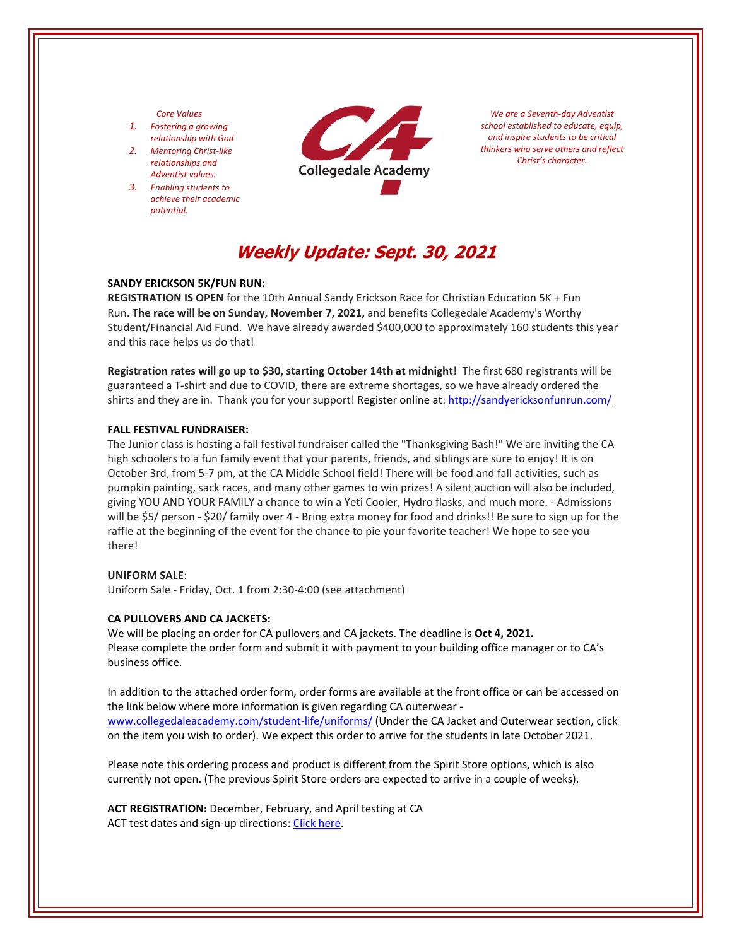#### *Core Values*

- *1. Fostering a growing relationship with God*
- *2. Mentoring Christ‐like relationships and Adventist values.*
- *3. Enabling students to achieve their academic potential.*



*We are a Seventh‐day Adventist school established to educate, equip, and inspire students to be critical thinkers who serve others and reflect Christ's character.*

# **Weekly Update: Sept. 30, 2021**

### **SANDY ERICKSON 5K/FUN RUN:**

**REGISTRATION IS OPEN** for the 10th Annual Sandy Erickson Race for Christian Education 5K + Fun Run. **The race will be on Sunday, November 7, 2021,** and benefits Collegedale Academy's Worthy Student/Financial Aid Fund. We have already awarded \$400,000 to approximately 160 students this year and this race helps us do that!

**Registration rates will go up to \$30, starting October 14th at midnight**! The first 680 registrants will be guaranteed a T‐shirt and due to COVID, there are extreme shortages, so we have already ordered the shirts and they are in. Thank you for your support! Register online at: <http://sandyericksonfunrun.com/>

#### **FALL FESTIVAL FUNDRAISER:**

The Junior class is hosting a fall festival fundraiser called the "Thanksgiving Bash!" We are inviting the CA high schoolers to a fun family event that your parents, friends, and siblings are sure to enjoy! It is on October 3rd, from 5‐7 pm, at the CA Middle School field! There will be food and fall activities, such as pumpkin painting, sack races, and many other games to win prizes! A silent auction will also be included, giving YOU AND YOUR FAMILY a chance to win a Yeti Cooler, Hydro flasks, and much more. ‐ Admissions will be \$5/ person - \$20/ family over 4 - Bring extra money for food and drinks!! Be sure to sign up for the raffle at the beginning of the event for the chance to pie your favorite teacher! We hope to see you there!

#### **UNIFORM SALE**:

Uniform Sale ‐ Friday, Oct. 1 from 2:30‐4:00 (see attachment)

#### **CA PULLOVERS AND CA JACKETS:**

We will be placing an order for CA pullovers and CA jackets. The deadline is **Oct 4, 2021.**  Please complete the order form and submit it with payment to your building office manager or to CA's business office.

In addition to the attached order form, order forms are available at the front office or can be accessed on the link below where more information is given regarding CA outerwear ‐ [www.collegedaleacademy.com/student](https://www.collegedaleacademy.com/student-life/uniforms/)-life/uniforms/ (Under the CA Jacket and Outerwear section, click on the item you wish to order). We expect this order to arrive for the students in late October 2021.

Please note this ordering process and product is different from the Spirit Store options, which is also currently not open. (The previous Spirit Store orders are expected to arrive in a couple of weeks).

**ACT REGISTRATION:** December, February, and April testing at CA ACT test dates and sign-up directions: Click [here.](https://www.act.org/)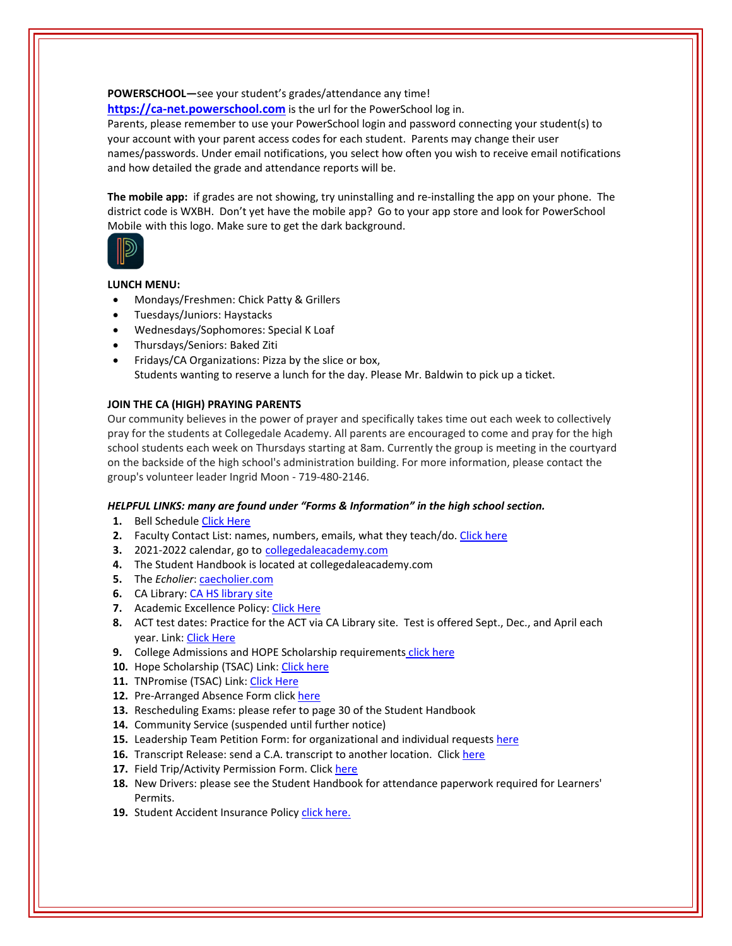**POWERSCHOOL—**see your student's grades/attendance any time! https://ca-[net.powerschool.com](https://ca-net.powerschool.com/public/) is the url for the PowerSchool log in.

Parents, please remember to use your PowerSchool login and password connecting your student(s) to your account with your parent access codes for each student. Parents may change their user names/passwords. Under email notifications, you select how often you wish to receive email notifications and how detailed the grade and attendance reports will be.

**The mobile app:** if grades are not showing, try uninstalling and re‐installing the app on your phone. The district code is WXBH. Don't yet have the mobile app? Go to your app store and look for PowerSchool Mobile with this logo. Make sure to get the dark background.



## **LUNCH MENU:**

- Mondays/Freshmen: Chick Patty & Grillers
- Tuesdays/Juniors: Haystacks
- Wednesdays/Sophomores: Special K Loaf
- Thursdays/Seniors: Baked Ziti
- Fridays/CA Organizations: Pizza by the slice or box, Students wanting to reserve a lunch for the day. Please Mr. Baldwin to pick up a ticket.

## **JOIN THE CA (HIGH) PRAYING PARENTS**

Our community believes in the power of prayer and specifically takes time out each week to collectively pray for the students at Collegedale Academy. All parents are encouraged to come and pray for the high school students each week on Thursdays starting at 8am. Currently the group is meeting in the courtyard on the backside of the high school's administration building. For more information, please contact the group's volunteer leader Ingrid Moon ‐ 719‐480‐2146.

### *HELPFUL LINKS: many are found under "Forms & Information" in the high school section.*

- **1.** Bell Schedule Click [Here](https://www.collegedaleacademy.com/wp-content/uploads/2018/08/Bell-Schedule.pdf)
- **2.** Faculty Contact List: names, numbers, emails, what they teach/do. [Click](https://www.collegedaleacademy.com/wp-content/uploads/2021/08/faculty-only-2021-2022.pdf) here
- **3.** 2021‐2022 calendar, go to [collegedaleacademy.com](https://www.collegedaleacademy.com/calendars/)
- **4.** The Student Handbook is located at collegedaleacademy.com
- **5.** The *Echolier*: **[caecholier.com](https://caecholier.com/)**
- **6.** CA Library: CA HS [library](https://southernuniongcc.mlasolutions.com/m5/catalog/(S(x5agfsbae2knyrxykryodmaa))/default.aspx?installation=CDA) site
- **7.** Academic Excellence Policy: Click [Here](https://www.collegedaleacademy.com/wp-content/uploads/2018/08/Academic-Excellence-Policy.pdf)
- **8.** ACT test dates: Practice for the ACT via CA Library site. Test is offered Sept., Dec., and April each year. Link: Click [Here](https://www.act.org/)
- **9.** College Admissions and HOPE Scholarship requirements click [here](https://www.collegedaleacademy.com/wp-content/uploads/2019/08/TSAC-Scholarship-Info.pdf)
- **10.** Hope Scholarship (TSAC) Link: Click [here](https://www.tn.gov/collegepays/money-for-college/tn-education-lottery-programs/tennessee-hope-scholarship.html)
- **11.** TNPromise (TSAC) Link: Click [Here](https://www.tn.gov/tnpromise.html)
- 12. Pre-Arranged Absence Form click [here](https://www.collegedaleacademy.com/wp-content/uploads/2016/11/Class-Absence-Request-Form-May-2017.pdf)
- **13.** Rescheduling Exams: please refer to page 30 of the Student Handbook
- **14.** Community Service (suspended until further notice)
- **15.** Leadership Team Petition Form: for organizational and individual requests [here](https://www.collegedaleacademy.com/wp-content/uploads/2019/08/Leadership-Petition-SSch.pdf)
- 16. Transcript Release: send a C.A. transcript to another location. Click [here](https://www.collegedaleacademy.com/wp-content/uploads/2016/12/transcriptrelease2014.pdf)
- **17.** Field Trip/Activity Permission Form. Click [here](https://www.collegedaleacademy.com/wp-content/uploads/2018/08/Field-Trip-form.pdf)
- **18.** New Drivers: please see the Student Handbook for attendance paperwork required for Learners' Permits.
- 19. Student Accident Insurance Policy click [here.](https://adventistrisk.org/en-us/insurance/nad/k-12-student-accident)